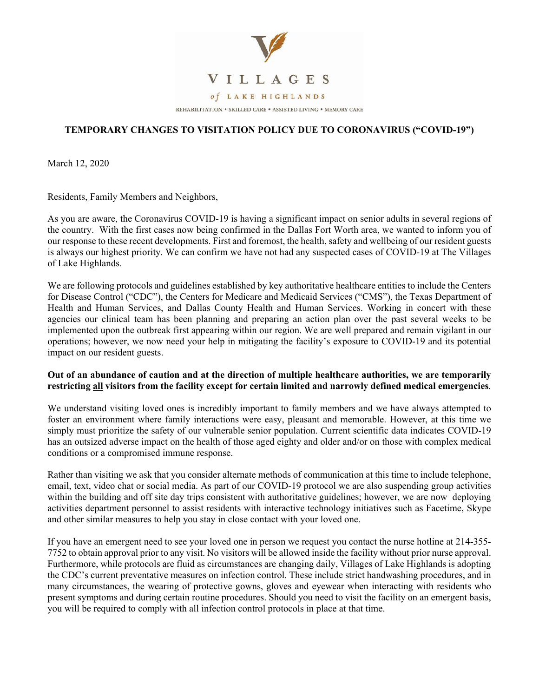

## **TEMPORARY CHANGES TO VISITATION POLICY DUE TO CORONAVIRUS ("COVID-19")**

March 12, 2020

Residents, Family Members and Neighbors,

As you are aware, the Coronavirus COVID-19 is having a significant impact on senior adults in several regions of the country. With the first cases now being confirmed in the Dallas Fort Worth area, we wanted to inform you of our response to these recent developments. First and foremost, the health, safety and wellbeing of our resident guests is always our highest priority. We can confirm we have not had any suspected cases of COVID-19 at The Villages of Lake Highlands.

We are following protocols and guidelines established by key authoritative healthcare entities to include the Centers for Disease Control ("CDC"), the Centers for Medicare and Medicaid Services ("CMS"), the Texas Department of Health and Human Services, and Dallas County Health and Human Services. Working in concert with these agencies our clinical team has been planning and preparing an action plan over the past several weeks to be implemented upon the outbreak first appearing within our region. We are well prepared and remain vigilant in our operations; however, we now need your help in mitigating the facility's exposure to COVID-19 and its potential impact on our resident guests.

## **Out of an abundance of caution and at the direction of multiple healthcare authorities, we are temporarily restricting all visitors from the facility except for certain limited and narrowly defined medical emergencies**.

We understand visiting loved ones is incredibly important to family members and we have always attempted to foster an environment where family interactions were easy, pleasant and memorable. However, at this time we simply must prioritize the safety of our vulnerable senior population. Current scientific data indicates COVID-19 has an outsized adverse impact on the health of those aged eighty and older and/or on those with complex medical conditions or a compromised immune response.

Rather than visiting we ask that you consider alternate methods of communication at this time to include telephone, email, text, video chat or social media. As part of our COVID-19 protocol we are also suspending group activities within the building and off site day trips consistent with authoritative guidelines; however, we are now deploying activities department personnel to assist residents with interactive technology initiatives such as Facetime, Skype and other similar measures to help you stay in close contact with your loved one.

If you have an emergent need to see your loved one in person we request you contact the nurse hotline at 214-355- 7752 to obtain approval prior to any visit. No visitors will be allowed inside the facility without prior nurse approval. Furthermore, while protocols are fluid as circumstances are changing daily, Villages of Lake Highlands is adopting the CDC's current preventative measures on infection control. These include strict handwashing procedures, and in many circumstances, the wearing of protective gowns, gloves and eyewear when interacting with residents who present symptoms and during certain routine procedures. Should you need to visit the facility on an emergent basis, you will be required to comply with all infection control protocols in place at that time.